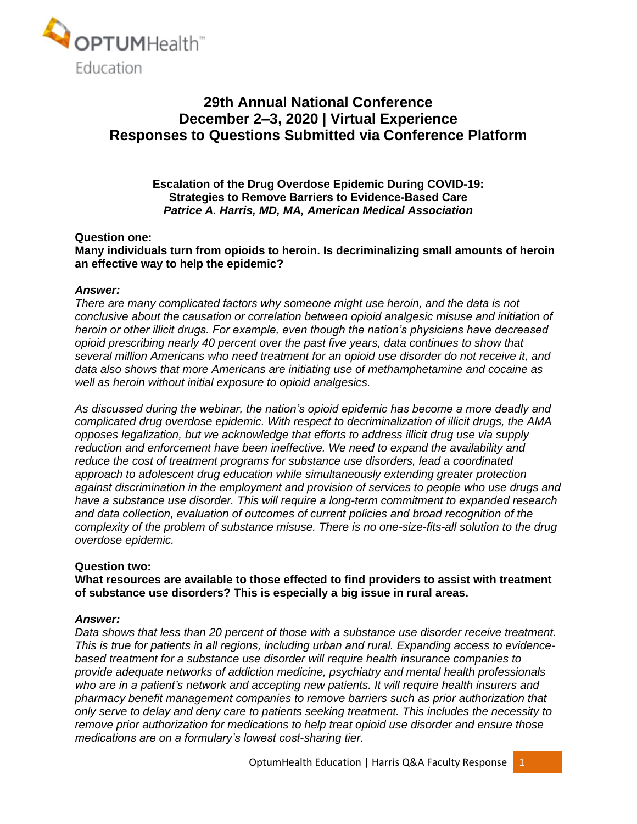

# **29th Annual National Conference December 2–3, 2020 | Virtual Experience Responses to Questions Submitted via Conference Platform**

**Escalation of the Drug Overdose Epidemic During COVID-19: Strategies to Remove Barriers to Evidence-Based Care** *Patrice A. Harris, MD, MA, American Medical Association*

### **Question one:**

**Many individuals turn from opioids to heroin. Is decriminalizing small amounts of heroin an effective way to help the epidemic?**

### *Answer:*

*There are many complicated factors why someone might use heroin, and the data is not conclusive about the causation or correlation between opioid analgesic misuse and initiation of heroin or other illicit drugs. For example, even though the nation's physicians have decreased opioid prescribing nearly 40 percent over the past five years, data continues to show that several million Americans who need treatment for an opioid use disorder do not receive it, and data also shows that more Americans are initiating use of methamphetamine and cocaine as well as heroin without initial exposure to opioid analgesics.* 

*As discussed during the webinar, the nation's opioid epidemic has become a more deadly and complicated drug overdose epidemic. With respect to decriminalization of illicit drugs, the AMA opposes legalization, but we acknowledge that efforts to address illicit drug use via supply reduction and enforcement have been ineffective. We need to expand the availability and reduce the cost of treatment programs for substance use disorders, lead a coordinated approach to adolescent drug education while simultaneously extending greater protection against discrimination in the employment and provision of services to people who use drugs and have a substance use disorder. This will require a long-term commitment to expanded research and data collection, evaluation of outcomes of current policies and broad recognition of the complexity of the problem of substance misuse. There is no one-size-fits-all solution to the drug overdose epidemic.*

## **Question two:**

**What resources are available to those effected to find providers to assist with treatment of substance use disorders? This is especially a big issue in rural areas.**

#### *Answer:*

*Data shows that less than 20 percent of those with a substance use disorder receive treatment. This is true for patients in all regions, including urban and rural. Expanding access to evidencebased treatment for a substance use disorder will require health insurance companies to provide adequate networks of addiction medicine, psychiatry and mental health professionals who are in a patient's network and accepting new patients. It will require health insurers and pharmacy benefit management companies to remove barriers such as prior authorization that only serve to delay and deny care to patients seeking treatment. This includes the necessity to remove prior authorization for medications to help treat opioid use disorder and ensure those medications are on a formulary's lowest cost-sharing tier.*